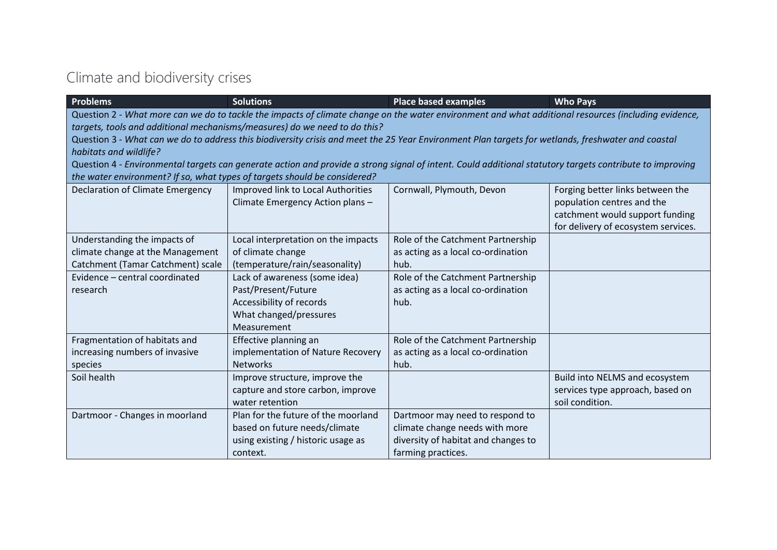### Climate and biodiversity crises

| <b>Problems</b>                                                           | <b>Solutions</b>                                                                                                                                         | <b>Place based examples</b>         | <b>Who Pays</b>                     |
|---------------------------------------------------------------------------|----------------------------------------------------------------------------------------------------------------------------------------------------------|-------------------------------------|-------------------------------------|
|                                                                           | Question 2 - What more can we do to tackle the impacts of climate change on the water environment and what additional resources (including evidence,     |                                     |                                     |
|                                                                           | targets, tools and additional mechanisms/measures) do we need to do this?                                                                                |                                     |                                     |
|                                                                           | Question 3 - What can we do to address this biodiversity crisis and meet the 25 Year Environment Plan targets for wetlands, freshwater and coastal       |                                     |                                     |
| habitats and wildlife?                                                    |                                                                                                                                                          |                                     |                                     |
|                                                                           | Question 4 - Environmental targets can generate action and provide a strong signal of intent. Could additional statutory targets contribute to improving |                                     |                                     |
| the water environment? If so, what types of targets should be considered? |                                                                                                                                                          |                                     |                                     |
| <b>Declaration of Climate Emergency</b>                                   | Improved link to Local Authorities                                                                                                                       | Cornwall, Plymouth, Devon           | Forging better links between the    |
|                                                                           | Climate Emergency Action plans -                                                                                                                         |                                     | population centres and the          |
|                                                                           |                                                                                                                                                          |                                     | catchment would support funding     |
|                                                                           |                                                                                                                                                          |                                     | for delivery of ecosystem services. |
| Understanding the impacts of                                              | Local interpretation on the impacts                                                                                                                      | Role of the Catchment Partnership   |                                     |
| climate change at the Management                                          | of climate change                                                                                                                                        | as acting as a local co-ordination  |                                     |
| Catchment (Tamar Catchment) scale                                         | (temperature/rain/seasonality)                                                                                                                           | hub.                                |                                     |
| Evidence - central coordinated                                            | Lack of awareness (some idea)                                                                                                                            | Role of the Catchment Partnership   |                                     |
| research                                                                  | Past/Present/Future                                                                                                                                      | as acting as a local co-ordination  |                                     |
|                                                                           | Accessibility of records                                                                                                                                 | hub.                                |                                     |
|                                                                           | What changed/pressures                                                                                                                                   |                                     |                                     |
|                                                                           | Measurement                                                                                                                                              |                                     |                                     |
| Fragmentation of habitats and                                             | Effective planning an                                                                                                                                    | Role of the Catchment Partnership   |                                     |
| increasing numbers of invasive                                            | implementation of Nature Recovery                                                                                                                        | as acting as a local co-ordination  |                                     |
| species                                                                   | <b>Networks</b>                                                                                                                                          | hub.                                |                                     |
| Soil health                                                               | Improve structure, improve the                                                                                                                           |                                     | Build into NELMS and ecosystem      |
|                                                                           | capture and store carbon, improve                                                                                                                        |                                     | services type approach, based on    |
|                                                                           | water retention                                                                                                                                          |                                     | soil condition.                     |
| Dartmoor - Changes in moorland                                            | Plan for the future of the moorland                                                                                                                      | Dartmoor may need to respond to     |                                     |
|                                                                           | based on future needs/climate                                                                                                                            | climate change needs with more      |                                     |
|                                                                           | using existing / historic usage as                                                                                                                       | diversity of habitat and changes to |                                     |
|                                                                           | context.                                                                                                                                                 | farming practices.                  |                                     |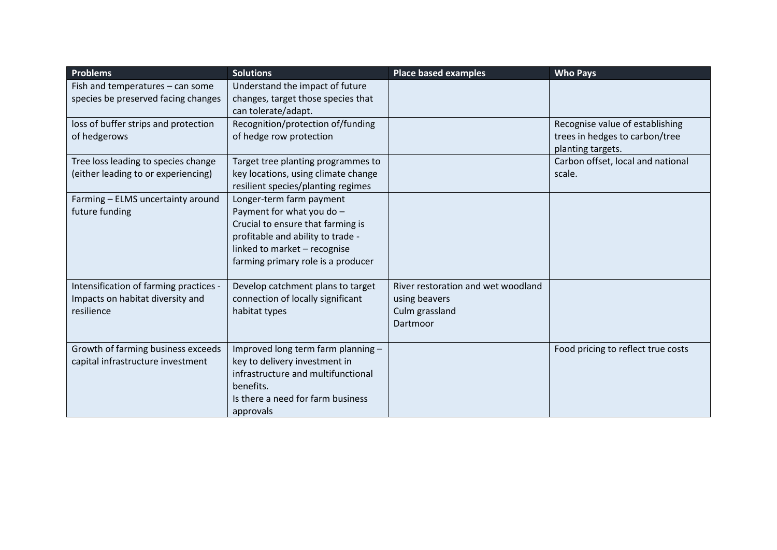| <b>Problems</b>                                                                          | <b>Solutions</b>                                                                                                                                                                                      | <b>Place based examples</b>                                                       | <b>Who Pays</b>                                                                        |
|------------------------------------------------------------------------------------------|-------------------------------------------------------------------------------------------------------------------------------------------------------------------------------------------------------|-----------------------------------------------------------------------------------|----------------------------------------------------------------------------------------|
| Fish and temperatures - can some<br>species be preserved facing changes                  | Understand the impact of future<br>changes, target those species that                                                                                                                                 |                                                                                   |                                                                                        |
|                                                                                          | can tolerate/adapt.                                                                                                                                                                                   |                                                                                   |                                                                                        |
| loss of buffer strips and protection<br>of hedgerows                                     | Recognition/protection of/funding<br>of hedge row protection                                                                                                                                          |                                                                                   | Recognise value of establishing<br>trees in hedges to carbon/tree<br>planting targets. |
| Tree loss leading to species change<br>(either leading to or experiencing)               | Target tree planting programmes to<br>key locations, using climate change<br>resilient species/planting regimes                                                                                       |                                                                                   | Carbon offset, local and national<br>scale.                                            |
| Farming - ELMS uncertainty around<br>future funding                                      | Longer-term farm payment<br>Payment for what you do -<br>Crucial to ensure that farming is<br>profitable and ability to trade -<br>linked to market - recognise<br>farming primary role is a producer |                                                                                   |                                                                                        |
| Intensification of farming practices -<br>Impacts on habitat diversity and<br>resilience | Develop catchment plans to target<br>connection of locally significant<br>habitat types                                                                                                               | River restoration and wet woodland<br>using beavers<br>Culm grassland<br>Dartmoor |                                                                                        |
| Growth of farming business exceeds<br>capital infrastructure investment                  | Improved long term farm planning -<br>key to delivery investment in<br>infrastructure and multifunctional<br>benefits.<br>Is there a need for farm business<br>approvals                              |                                                                                   | Food pricing to reflect true costs                                                     |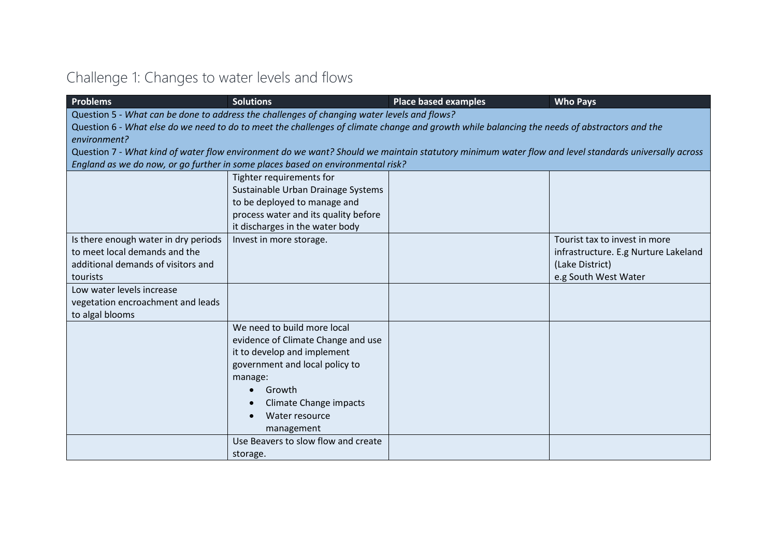# Challenge 1: Changes to water levels and flows

| <b>Problems</b>                      | <b>Solutions</b>                                                                            | <b>Place based examples</b>                                                                                                                         | <b>Who Pays</b>                      |
|--------------------------------------|---------------------------------------------------------------------------------------------|-----------------------------------------------------------------------------------------------------------------------------------------------------|--------------------------------------|
|                                      | Question 5 - What can be done to address the challenges of changing water levels and flows? |                                                                                                                                                     |                                      |
|                                      |                                                                                             | Question 6 - What else do we need to do to meet the challenges of climate change and growth while balancing the needs of abstractors and the        |                                      |
| environment?                         |                                                                                             |                                                                                                                                                     |                                      |
|                                      |                                                                                             | Question 7 - What kind of water flow environment do we want? Should we maintain statutory minimum water flow and level standards universally across |                                      |
|                                      | England as we do now, or go further in some places based on environmental risk?             |                                                                                                                                                     |                                      |
|                                      | Tighter requirements for                                                                    |                                                                                                                                                     |                                      |
|                                      | Sustainable Urban Drainage Systems                                                          |                                                                                                                                                     |                                      |
|                                      | to be deployed to manage and                                                                |                                                                                                                                                     |                                      |
|                                      | process water and its quality before                                                        |                                                                                                                                                     |                                      |
|                                      | it discharges in the water body                                                             |                                                                                                                                                     |                                      |
| Is there enough water in dry periods | Invest in more storage.                                                                     |                                                                                                                                                     | Tourist tax to invest in more        |
| to meet local demands and the        |                                                                                             |                                                                                                                                                     | infrastructure. E.g Nurture Lakeland |
| additional demands of visitors and   |                                                                                             |                                                                                                                                                     | (Lake District)                      |
| tourists                             |                                                                                             |                                                                                                                                                     | e.g South West Water                 |
| Low water levels increase            |                                                                                             |                                                                                                                                                     |                                      |
| vegetation encroachment and leads    |                                                                                             |                                                                                                                                                     |                                      |
| to algal blooms                      |                                                                                             |                                                                                                                                                     |                                      |
|                                      | We need to build more local                                                                 |                                                                                                                                                     |                                      |
|                                      | evidence of Climate Change and use                                                          |                                                                                                                                                     |                                      |
|                                      | it to develop and implement                                                                 |                                                                                                                                                     |                                      |
|                                      | government and local policy to                                                              |                                                                                                                                                     |                                      |
|                                      | manage:                                                                                     |                                                                                                                                                     |                                      |
|                                      | Growth<br>$\bullet$                                                                         |                                                                                                                                                     |                                      |
|                                      | <b>Climate Change impacts</b>                                                               |                                                                                                                                                     |                                      |
|                                      | Water resource                                                                              |                                                                                                                                                     |                                      |
|                                      | management                                                                                  |                                                                                                                                                     |                                      |
|                                      | Use Beavers to slow flow and create                                                         |                                                                                                                                                     |                                      |
|                                      | storage.                                                                                    |                                                                                                                                                     |                                      |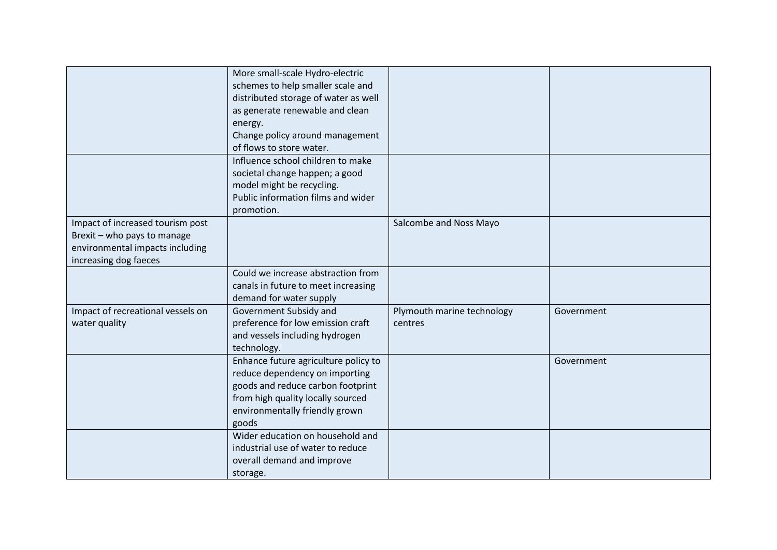|                                                                                                                             | More small-scale Hydro-electric<br>schemes to help smaller scale and<br>distributed storage of water as well<br>as generate renewable and clean<br>energy.<br>Change policy around management<br>of flows to store water. |                                       |            |
|-----------------------------------------------------------------------------------------------------------------------------|---------------------------------------------------------------------------------------------------------------------------------------------------------------------------------------------------------------------------|---------------------------------------|------------|
|                                                                                                                             | Influence school children to make<br>societal change happen; a good<br>model might be recycling.<br>Public information films and wider<br>promotion.                                                                      |                                       |            |
| Impact of increased tourism post<br>Brexit - who pays to manage<br>environmental impacts including<br>increasing dog faeces |                                                                                                                                                                                                                           | Salcombe and Noss Mayo                |            |
|                                                                                                                             | Could we increase abstraction from<br>canals in future to meet increasing<br>demand for water supply                                                                                                                      |                                       |            |
| Impact of recreational vessels on<br>water quality                                                                          | Government Subsidy and<br>preference for low emission craft<br>and vessels including hydrogen<br>technology.                                                                                                              | Plymouth marine technology<br>centres | Government |
|                                                                                                                             | Enhance future agriculture policy to<br>reduce dependency on importing<br>goods and reduce carbon footprint<br>from high quality locally sourced<br>environmentally friendly grown<br>goods                               |                                       | Government |
|                                                                                                                             | Wider education on household and<br>industrial use of water to reduce<br>overall demand and improve<br>storage.                                                                                                           |                                       |            |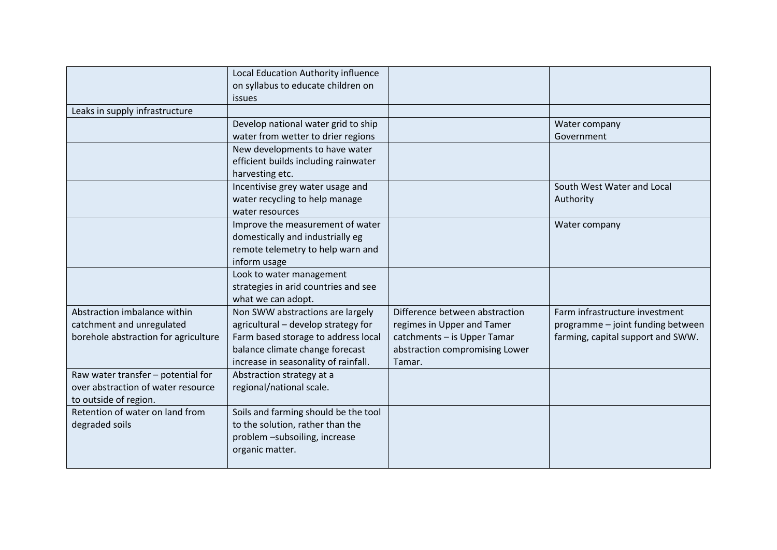|                                      | Local Education Authority influence  |                                |                                   |
|--------------------------------------|--------------------------------------|--------------------------------|-----------------------------------|
|                                      |                                      |                                |                                   |
|                                      | on syllabus to educate children on   |                                |                                   |
|                                      | <i>issues</i>                        |                                |                                   |
| Leaks in supply infrastructure       |                                      |                                |                                   |
|                                      | Develop national water grid to ship  |                                | Water company                     |
|                                      | water from wetter to drier regions   |                                | Government                        |
|                                      | New developments to have water       |                                |                                   |
|                                      | efficient builds including rainwater |                                |                                   |
|                                      | harvesting etc.                      |                                |                                   |
|                                      | Incentivise grey water usage and     |                                | South West Water and Local        |
|                                      | water recycling to help manage       |                                | Authority                         |
|                                      | water resources                      |                                |                                   |
|                                      | Improve the measurement of water     |                                | Water company                     |
|                                      | domestically and industrially eg     |                                |                                   |
|                                      | remote telemetry to help warn and    |                                |                                   |
|                                      | inform usage                         |                                |                                   |
|                                      | Look to water management             |                                |                                   |
|                                      | strategies in arid countries and see |                                |                                   |
|                                      | what we can adopt.                   |                                |                                   |
| Abstraction imbalance within         | Non SWW abstractions are largely     | Difference between abstraction | Farm infrastructure investment    |
| catchment and unregulated            | agricultural - develop strategy for  | regimes in Upper and Tamer     | programme - joint funding between |
| borehole abstraction for agriculture | Farm based storage to address local  | catchments - is Upper Tamar    | farming, capital support and SWW. |
|                                      | balance climate change forecast      | abstraction compromising Lower |                                   |
|                                      | increase in seasonality of rainfall. | Tamar.                         |                                   |
| Raw water transfer - potential for   | Abstraction strategy at a            |                                |                                   |
| over abstraction of water resource   | regional/national scale.             |                                |                                   |
| to outside of region.                |                                      |                                |                                   |
| Retention of water on land from      | Soils and farming should be the tool |                                |                                   |
| degraded soils                       | to the solution, rather than the     |                                |                                   |
|                                      | problem -subsoiling, increase        |                                |                                   |
|                                      | organic matter.                      |                                |                                   |
|                                      |                                      |                                |                                   |
|                                      |                                      |                                |                                   |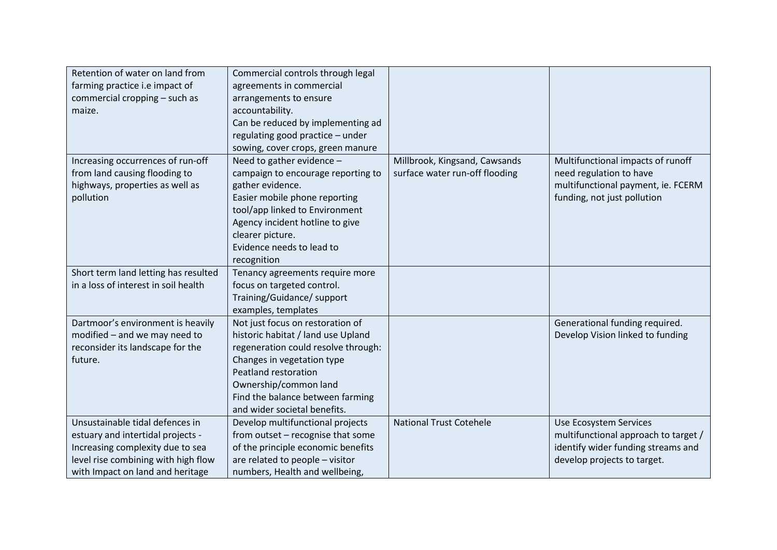| Retention of water on land from<br>farming practice i.e impact of<br>commercial cropping - such as<br>maize.                                                                        | Commercial controls through legal<br>agreements in commercial<br>arrangements to ensure<br>accountability.<br>Can be reduced by implementing ad<br>regulating good practice - under<br>sowing, cover crops, green manure                                         |                                                                 |                                                                                                                                     |
|-------------------------------------------------------------------------------------------------------------------------------------------------------------------------------------|------------------------------------------------------------------------------------------------------------------------------------------------------------------------------------------------------------------------------------------------------------------|-----------------------------------------------------------------|-------------------------------------------------------------------------------------------------------------------------------------|
| Increasing occurrences of run-off<br>from land causing flooding to<br>highways, properties as well as<br>pollution                                                                  | Need to gather evidence -<br>campaign to encourage reporting to<br>gather evidence.<br>Easier mobile phone reporting<br>tool/app linked to Environment<br>Agency incident hotline to give<br>clearer picture.<br>Evidence needs to lead to<br>recognition        | Millbrook, Kingsand, Cawsands<br>surface water run-off flooding | Multifunctional impacts of runoff<br>need regulation to have<br>multifunctional payment, ie. FCERM<br>funding, not just pollution   |
| Short term land letting has resulted<br>in a loss of interest in soil health                                                                                                        | Tenancy agreements require more<br>focus on targeted control.<br>Training/Guidance/ support<br>examples, templates                                                                                                                                               |                                                                 |                                                                                                                                     |
| Dartmoor's environment is heavily<br>modified - and we may need to<br>reconsider its landscape for the<br>future.                                                                   | Not just focus on restoration of<br>historic habitat / land use Upland<br>regeneration could resolve through:<br>Changes in vegetation type<br>Peatland restoration<br>Ownership/common land<br>Find the balance between farming<br>and wider societal benefits. |                                                                 | Generational funding required.<br>Develop Vision linked to funding                                                                  |
| Unsustainable tidal defences in<br>estuary and intertidal projects -<br>Increasing complexity due to sea<br>level rise combining with high flow<br>with Impact on land and heritage | Develop multifunctional projects<br>from outset - recognise that some<br>of the principle economic benefits<br>are related to people - visitor<br>numbers, Health and wellbeing,                                                                                 | <b>National Trust Cotehele</b>                                  | Use Ecosystem Services<br>multifunctional approach to target /<br>identify wider funding streams and<br>develop projects to target. |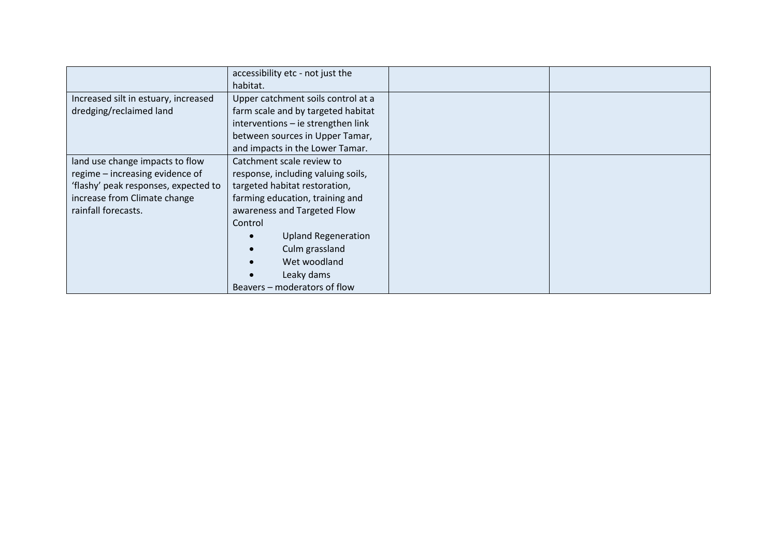|                                      | accessibility etc - not just the   |  |
|--------------------------------------|------------------------------------|--|
|                                      | habitat.                           |  |
| Increased silt in estuary, increased | Upper catchment soils control at a |  |
| dredging/reclaimed land              | farm scale and by targeted habitat |  |
|                                      | interventions - ie strengthen link |  |
|                                      | between sources in Upper Tamar,    |  |
|                                      | and impacts in the Lower Tamar.    |  |
| land use change impacts to flow      | Catchment scale review to          |  |
| regime - increasing evidence of      | response, including valuing soils, |  |
| 'flashy' peak responses, expected to | targeted habitat restoration,      |  |
| increase from Climate change         | farming education, training and    |  |
| rainfall forecasts.                  | awareness and Targeted Flow        |  |
|                                      | Control                            |  |
|                                      | <b>Upland Regeneration</b>         |  |
|                                      | Culm grassland                     |  |
|                                      | Wet woodland                       |  |
|                                      | Leaky dams                         |  |
|                                      | Beavers – moderators of flow       |  |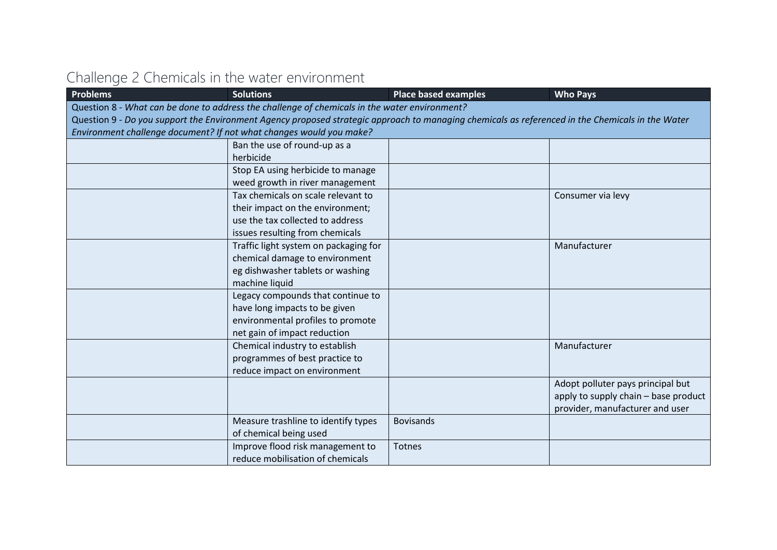## Challenge 2 Chemicals in the water environment

| <b>Problems</b> | <b>Solutions</b>                                                                                                                                 | <b>Place based examples</b> | <b>Who Pays</b>                      |
|-----------------|--------------------------------------------------------------------------------------------------------------------------------------------------|-----------------------------|--------------------------------------|
|                 | Question 8 - What can be done to address the challenge of chemicals in the water environment?                                                    |                             |                                      |
|                 | Question 9 - Do you support the Environment Agency proposed strategic approach to managing chemicals as referenced in the Chemicals in the Water |                             |                                      |
|                 | Environment challenge document? If not what changes would you make?                                                                              |                             |                                      |
|                 | Ban the use of round-up as a                                                                                                                     |                             |                                      |
|                 | herbicide                                                                                                                                        |                             |                                      |
|                 | Stop EA using herbicide to manage                                                                                                                |                             |                                      |
|                 | weed growth in river management                                                                                                                  |                             |                                      |
|                 | Tax chemicals on scale relevant to                                                                                                               |                             | Consumer via levy                    |
|                 | their impact on the environment;                                                                                                                 |                             |                                      |
|                 | use the tax collected to address                                                                                                                 |                             |                                      |
|                 | issues resulting from chemicals                                                                                                                  |                             |                                      |
|                 | Traffic light system on packaging for                                                                                                            |                             | Manufacturer                         |
|                 | chemical damage to environment                                                                                                                   |                             |                                      |
|                 | eg dishwasher tablets or washing                                                                                                                 |                             |                                      |
|                 | machine liquid                                                                                                                                   |                             |                                      |
|                 | Legacy compounds that continue to                                                                                                                |                             |                                      |
|                 | have long impacts to be given                                                                                                                    |                             |                                      |
|                 | environmental profiles to promote                                                                                                                |                             |                                      |
|                 | net gain of impact reduction                                                                                                                     |                             |                                      |
|                 | Chemical industry to establish                                                                                                                   |                             | Manufacturer                         |
|                 | programmes of best practice to                                                                                                                   |                             |                                      |
|                 | reduce impact on environment                                                                                                                     |                             |                                      |
|                 |                                                                                                                                                  |                             | Adopt polluter pays principal but    |
|                 |                                                                                                                                                  |                             | apply to supply chain - base product |
|                 |                                                                                                                                                  |                             | provider, manufacturer and user      |
|                 | Measure trashline to identify types                                                                                                              | <b>Bovisands</b>            |                                      |
|                 | of chemical being used                                                                                                                           |                             |                                      |
|                 | Improve flood risk management to                                                                                                                 | <b>Totnes</b>               |                                      |
|                 | reduce mobilisation of chemicals                                                                                                                 |                             |                                      |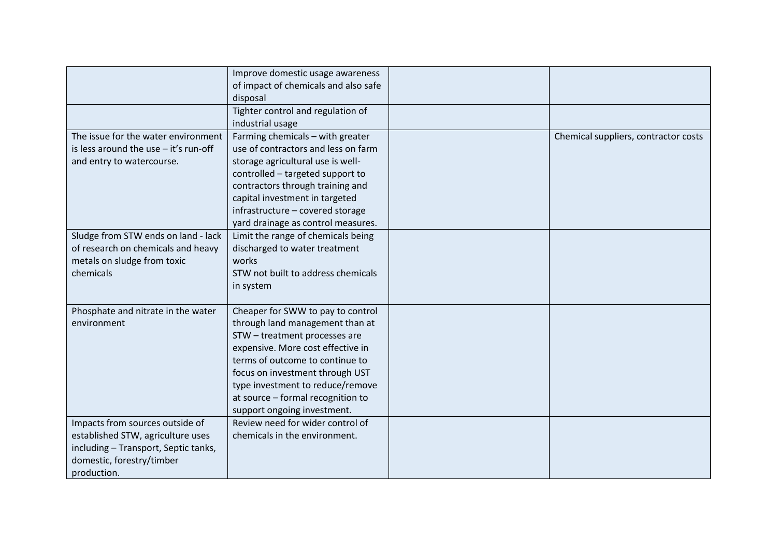|                                                                                                                                                          | Improve domestic usage awareness<br>of impact of chemicals and also safe<br>disposal                                                                                                                                                                                                                                     |                                      |
|----------------------------------------------------------------------------------------------------------------------------------------------------------|--------------------------------------------------------------------------------------------------------------------------------------------------------------------------------------------------------------------------------------------------------------------------------------------------------------------------|--------------------------------------|
|                                                                                                                                                          | Tighter control and regulation of<br>industrial usage                                                                                                                                                                                                                                                                    |                                      |
| The issue for the water environment<br>is less around the use - it's run-off<br>and entry to watercourse.                                                | Farming chemicals - with greater<br>use of contractors and less on farm<br>storage agricultural use is well-<br>controlled - targeted support to<br>contractors through training and<br>capital investment in targeted<br>infrastructure - covered storage<br>yard drainage as control measures.                         | Chemical suppliers, contractor costs |
| Sludge from STW ends on land - lack<br>of research on chemicals and heavy<br>metals on sludge from toxic<br>chemicals                                    | Limit the range of chemicals being<br>discharged to water treatment<br>works<br>STW not built to address chemicals<br>in system                                                                                                                                                                                          |                                      |
| Phosphate and nitrate in the water<br>environment                                                                                                        | Cheaper for SWW to pay to control<br>through land management than at<br>STW - treatment processes are<br>expensive. More cost effective in<br>terms of outcome to continue to<br>focus on investment through UST<br>type investment to reduce/remove<br>at source - formal recognition to<br>support ongoing investment. |                                      |
| Impacts from sources outside of<br>established STW, agriculture uses<br>including - Transport, Septic tanks,<br>domestic, forestry/timber<br>production. | Review need for wider control of<br>chemicals in the environment.                                                                                                                                                                                                                                                        |                                      |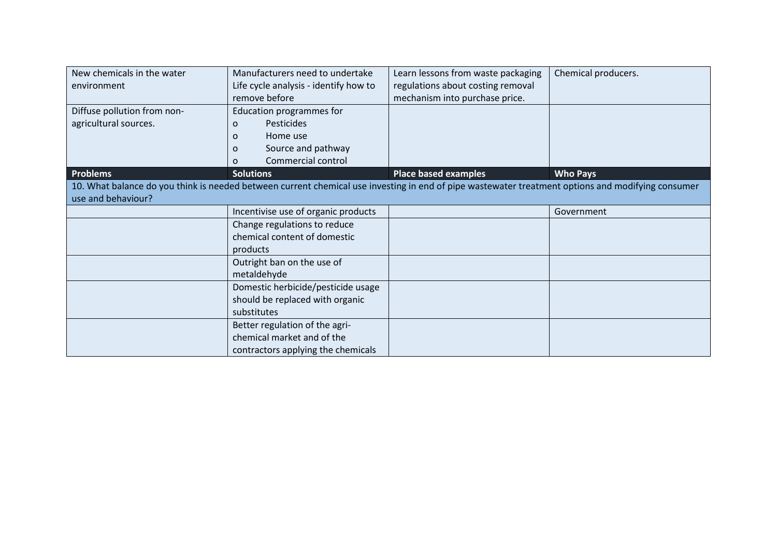| New chemicals in the water  | Manufacturers need to undertake                                                                                                                   | Learn lessons from waste packaging | Chemical producers. |
|-----------------------------|---------------------------------------------------------------------------------------------------------------------------------------------------|------------------------------------|---------------------|
| environment                 | Life cycle analysis - identify how to                                                                                                             | regulations about costing removal  |                     |
|                             | remove before                                                                                                                                     | mechanism into purchase price.     |                     |
| Diffuse pollution from non- | Education programmes for                                                                                                                          |                                    |                     |
| agricultural sources.       | Pesticides<br>$\Omega$                                                                                                                            |                                    |                     |
|                             | Home use<br>$\Omega$                                                                                                                              |                                    |                     |
|                             | Source and pathway<br>$\Omega$                                                                                                                    |                                    |                     |
|                             | Commercial control<br>O                                                                                                                           |                                    |                     |
| Problems                    | <b>Solutions</b>                                                                                                                                  | <b>Place based examples</b>        | <b>Who Pays</b>     |
|                             | 10. What balance do you think is needed between current chemical use investing in end of pipe wastewater treatment options and modifying consumer |                                    |                     |
| use and behaviour?          |                                                                                                                                                   |                                    |                     |
|                             | Incentivise use of organic products                                                                                                               |                                    | Government          |
|                             | Change regulations to reduce                                                                                                                      |                                    |                     |
|                             | chemical content of domestic                                                                                                                      |                                    |                     |
|                             | products                                                                                                                                          |                                    |                     |
|                             | Outright ban on the use of                                                                                                                        |                                    |                     |
|                             | metaldehyde                                                                                                                                       |                                    |                     |
|                             | Domestic herbicide/pesticide usage                                                                                                                |                                    |                     |
|                             | should be replaced with organic                                                                                                                   |                                    |                     |
|                             | substitutes                                                                                                                                       |                                    |                     |
|                             | Better regulation of the agri-                                                                                                                    |                                    |                     |
|                             | chemical market and of the                                                                                                                        |                                    |                     |
|                             | contractors applying the chemicals                                                                                                                |                                    |                     |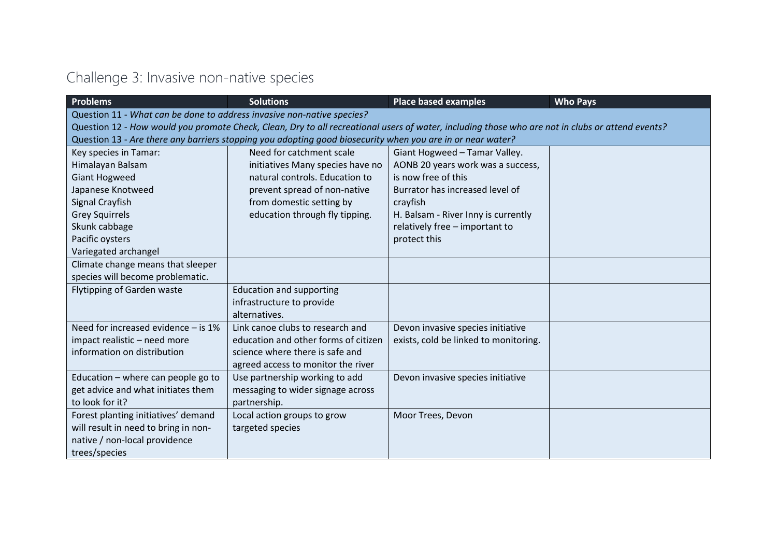## Challenge 3: Invasive non-native species

| <b>Problems</b>                                                        | <b>Solutions</b>                                                                                           | <b>Place based examples</b>                                                                                                                      | <b>Who Pays</b> |
|------------------------------------------------------------------------|------------------------------------------------------------------------------------------------------------|--------------------------------------------------------------------------------------------------------------------------------------------------|-----------------|
| Question 11 - What can be done to address invasive non-native species? |                                                                                                            |                                                                                                                                                  |                 |
|                                                                        |                                                                                                            | Question 12 - How would you promote Check, Clean, Dry to all recreational users of water, including those who are not in clubs or attend events? |                 |
|                                                                        | Question 13 - Are there any barriers stopping you adopting good biosecurity when you are in or near water? |                                                                                                                                                  |                 |
| Key species in Tamar:                                                  | Need for catchment scale                                                                                   | Giant Hogweed - Tamar Valley.                                                                                                                    |                 |
| Himalayan Balsam                                                       | initiatives Many species have no                                                                           | AONB 20 years work was a success,                                                                                                                |                 |
| <b>Giant Hogweed</b>                                                   | natural controls. Education to                                                                             | is now free of this                                                                                                                              |                 |
| Japanese Knotweed                                                      | prevent spread of non-native                                                                               | Burrator has increased level of                                                                                                                  |                 |
| Signal Crayfish                                                        | from domestic setting by                                                                                   | crayfish                                                                                                                                         |                 |
| <b>Grey Squirrels</b>                                                  | education through fly tipping.                                                                             | H. Balsam - River Inny is currently                                                                                                              |                 |
| Skunk cabbage                                                          |                                                                                                            | relatively free - important to                                                                                                                   |                 |
| Pacific oysters                                                        |                                                                                                            | protect this                                                                                                                                     |                 |
| Variegated archangel                                                   |                                                                                                            |                                                                                                                                                  |                 |
| Climate change means that sleeper                                      |                                                                                                            |                                                                                                                                                  |                 |
| species will become problematic.                                       |                                                                                                            |                                                                                                                                                  |                 |
| <b>Flytipping of Garden waste</b>                                      | <b>Education and supporting</b>                                                                            |                                                                                                                                                  |                 |
|                                                                        | infrastructure to provide                                                                                  |                                                                                                                                                  |                 |
|                                                                        | alternatives.                                                                                              |                                                                                                                                                  |                 |
| Need for increased evidence - is 1%                                    | Link canoe clubs to research and                                                                           | Devon invasive species initiative                                                                                                                |                 |
| impact realistic - need more                                           | education and other forms of citizen                                                                       | exists, cold be linked to monitoring.                                                                                                            |                 |
| information on distribution                                            | science where there is safe and                                                                            |                                                                                                                                                  |                 |
|                                                                        | agreed access to monitor the river                                                                         |                                                                                                                                                  |                 |
| Education - where can people go to                                     | Use partnership working to add                                                                             | Devon invasive species initiative                                                                                                                |                 |
| get advice and what initiates them                                     | messaging to wider signage across                                                                          |                                                                                                                                                  |                 |
| to look for it?                                                        | partnership.                                                                                               |                                                                                                                                                  |                 |
| Forest planting initiatives' demand                                    | Local action groups to grow                                                                                | Moor Trees, Devon                                                                                                                                |                 |
| will result in need to bring in non-                                   | targeted species                                                                                           |                                                                                                                                                  |                 |
| native / non-local providence                                          |                                                                                                            |                                                                                                                                                  |                 |
| trees/species                                                          |                                                                                                            |                                                                                                                                                  |                 |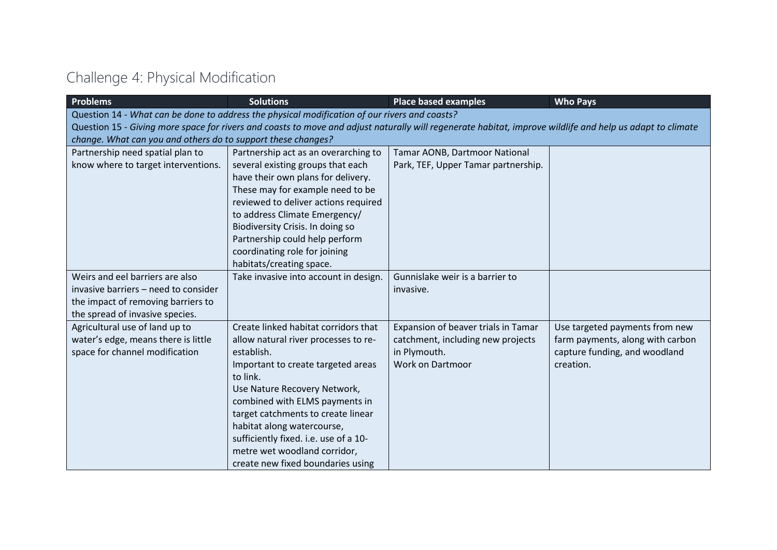## Challenge 4: Physical Modification

| <b>Problems</b>                                              | <b>Solutions</b>                                                                                                                                          | <b>Place based examples</b>         | <b>Who Pays</b>                  |  |  |
|--------------------------------------------------------------|-----------------------------------------------------------------------------------------------------------------------------------------------------------|-------------------------------------|----------------------------------|--|--|
|                                                              | Question 14 - What can be done to address the physical modification of our rivers and coasts?                                                             |                                     |                                  |  |  |
|                                                              | Question 15 - Giving more space for rivers and coasts to move and adjust naturally will regenerate habitat, improve wildlife and help us adapt to climate |                                     |                                  |  |  |
| change. What can you and others do to support these changes? |                                                                                                                                                           |                                     |                                  |  |  |
| Partnership need spatial plan to                             | Partnership act as an overarching to                                                                                                                      | Tamar AONB, Dartmoor National       |                                  |  |  |
| know where to target interventions.                          | several existing groups that each                                                                                                                         | Park, TEF, Upper Tamar partnership. |                                  |  |  |
|                                                              | have their own plans for delivery.                                                                                                                        |                                     |                                  |  |  |
|                                                              | These may for example need to be                                                                                                                          |                                     |                                  |  |  |
|                                                              | reviewed to deliver actions required                                                                                                                      |                                     |                                  |  |  |
|                                                              | to address Climate Emergency/                                                                                                                             |                                     |                                  |  |  |
|                                                              | Biodiversity Crisis. In doing so                                                                                                                          |                                     |                                  |  |  |
|                                                              | Partnership could help perform<br>coordinating role for joining                                                                                           |                                     |                                  |  |  |
|                                                              | habitats/creating space.                                                                                                                                  |                                     |                                  |  |  |
| Weirs and eel barriers are also                              | Take invasive into account in design.                                                                                                                     | Gunnislake weir is a barrier to     |                                  |  |  |
| invasive barriers - need to consider                         |                                                                                                                                                           | invasive.                           |                                  |  |  |
| the impact of removing barriers to                           |                                                                                                                                                           |                                     |                                  |  |  |
| the spread of invasive species.                              |                                                                                                                                                           |                                     |                                  |  |  |
| Agricultural use of land up to                               | Create linked habitat corridors that                                                                                                                      | Expansion of beaver trials in Tamar | Use targeted payments from new   |  |  |
| water's edge, means there is little                          | allow natural river processes to re-                                                                                                                      | catchment, including new projects   | farm payments, along with carbon |  |  |
| space for channel modification                               | establish.                                                                                                                                                | in Plymouth.                        | capture funding, and woodland    |  |  |
|                                                              | Important to create targeted areas<br>to link.                                                                                                            | <b>Work on Dartmoor</b>             | creation.                        |  |  |
|                                                              | Use Nature Recovery Network,                                                                                                                              |                                     |                                  |  |  |
|                                                              | combined with ELMS payments in                                                                                                                            |                                     |                                  |  |  |
|                                                              | target catchments to create linear                                                                                                                        |                                     |                                  |  |  |
|                                                              | habitat along watercourse,                                                                                                                                |                                     |                                  |  |  |
|                                                              | sufficiently fixed. i.e. use of a 10-                                                                                                                     |                                     |                                  |  |  |
|                                                              | metre wet woodland corridor,                                                                                                                              |                                     |                                  |  |  |
|                                                              | create new fixed boundaries using                                                                                                                         |                                     |                                  |  |  |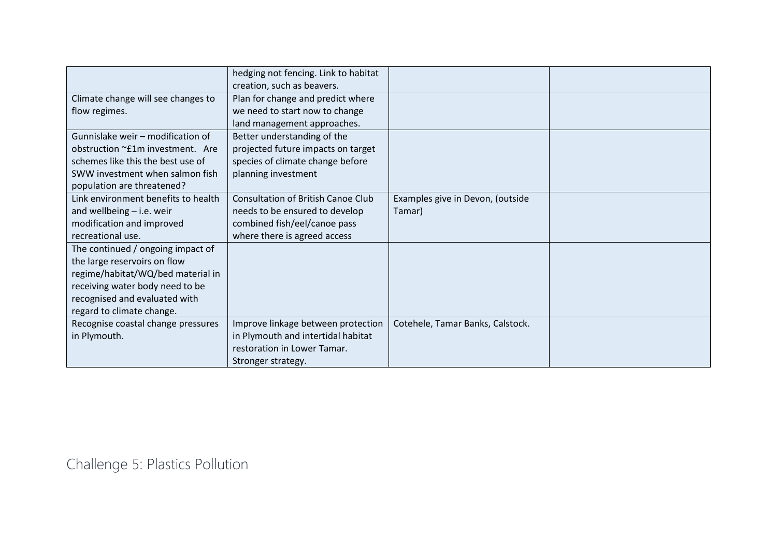|                                     | hedging not fencing. Link to habitat      |                                  |  |
|-------------------------------------|-------------------------------------------|----------------------------------|--|
|                                     | creation, such as beavers.                |                                  |  |
| Climate change will see changes to  | Plan for change and predict where         |                                  |  |
| flow regimes.                       | we need to start now to change            |                                  |  |
|                                     | land management approaches.               |                                  |  |
| Gunnislake weir - modification of   | Better understanding of the               |                                  |  |
| obstruction ~£1m investment. Are    | projected future impacts on target        |                                  |  |
| schemes like this the best use of   | species of climate change before          |                                  |  |
| SWW investment when salmon fish     | planning investment                       |                                  |  |
| population are threatened?          |                                           |                                  |  |
| Link environment benefits to health | <b>Consultation of British Canoe Club</b> | Examples give in Devon, (outside |  |
| and wellbeing $-$ i.e. weir         | needs to be ensured to develop            | Tamar)                           |  |
| modification and improved           | combined fish/eel/canoe pass              |                                  |  |
| recreational use.                   | where there is agreed access              |                                  |  |
| The continued / ongoing impact of   |                                           |                                  |  |
| the large reservoirs on flow        |                                           |                                  |  |
| regime/habitat/WQ/bed material in   |                                           |                                  |  |
| receiving water body need to be     |                                           |                                  |  |
| recognised and evaluated with       |                                           |                                  |  |
| regard to climate change.           |                                           |                                  |  |
| Recognise coastal change pressures  | Improve linkage between protection        | Cotehele, Tamar Banks, Calstock. |  |
| in Plymouth.                        | in Plymouth and intertidal habitat        |                                  |  |
|                                     | restoration in Lower Tamar.               |                                  |  |
|                                     | Stronger strategy.                        |                                  |  |

Challenge 5: Plastics Pollution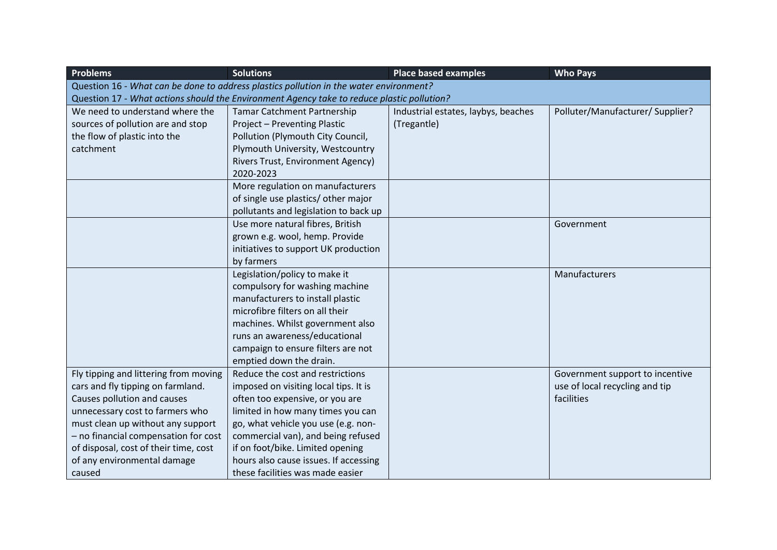| <b>Problems</b>                       | <b>Solutions</b>                                                                           | <b>Place based examples</b>         | <b>Who Pays</b>                  |  |  |  |
|---------------------------------------|--------------------------------------------------------------------------------------------|-------------------------------------|----------------------------------|--|--|--|
|                                       | Question 16 - What can be done to address plastics pollution in the water environment?     |                                     |                                  |  |  |  |
|                                       | Question 17 - What actions should the Environment Agency take to reduce plastic pollution? |                                     |                                  |  |  |  |
| We need to understand where the       | <b>Tamar Catchment Partnership</b>                                                         | Industrial estates, laybys, beaches | Polluter/Manufacturer/ Supplier? |  |  |  |
| sources of pollution are and stop     | Project - Preventing Plastic                                                               | (Tregantle)                         |                                  |  |  |  |
| the flow of plastic into the          | Pollution (Plymouth City Council,                                                          |                                     |                                  |  |  |  |
| catchment                             | Plymouth University, Westcountry                                                           |                                     |                                  |  |  |  |
|                                       | Rivers Trust, Environment Agency)                                                          |                                     |                                  |  |  |  |
|                                       | 2020-2023                                                                                  |                                     |                                  |  |  |  |
|                                       | More regulation on manufacturers                                                           |                                     |                                  |  |  |  |
|                                       | of single use plastics/ other major                                                        |                                     |                                  |  |  |  |
|                                       | pollutants and legislation to back up                                                      |                                     |                                  |  |  |  |
|                                       | Use more natural fibres, British                                                           |                                     | Government                       |  |  |  |
|                                       | grown e.g. wool, hemp. Provide                                                             |                                     |                                  |  |  |  |
|                                       | initiatives to support UK production                                                       |                                     |                                  |  |  |  |
|                                       | by farmers                                                                                 |                                     |                                  |  |  |  |
|                                       | Legislation/policy to make it                                                              |                                     | Manufacturers                    |  |  |  |
|                                       | compulsory for washing machine                                                             |                                     |                                  |  |  |  |
|                                       | manufacturers to install plastic                                                           |                                     |                                  |  |  |  |
|                                       | microfibre filters on all their                                                            |                                     |                                  |  |  |  |
|                                       | machines. Whilst government also                                                           |                                     |                                  |  |  |  |
|                                       | runs an awareness/educational                                                              |                                     |                                  |  |  |  |
|                                       | campaign to ensure filters are not                                                         |                                     |                                  |  |  |  |
|                                       | emptied down the drain.                                                                    |                                     |                                  |  |  |  |
| Fly tipping and littering from moving | Reduce the cost and restrictions                                                           |                                     | Government support to incentive  |  |  |  |
| cars and fly tipping on farmland.     | imposed on visiting local tips. It is                                                      |                                     | use of local recycling and tip   |  |  |  |
| Causes pollution and causes           | often too expensive, or you are                                                            |                                     | facilities                       |  |  |  |
| unnecessary cost to farmers who       | limited in how many times you can                                                          |                                     |                                  |  |  |  |
| must clean up without any support     | go, what vehicle you use (e.g. non-                                                        |                                     |                                  |  |  |  |
| - no financial compensation for cost  | commercial van), and being refused                                                         |                                     |                                  |  |  |  |
| of disposal, cost of their time, cost | if on foot/bike. Limited opening                                                           |                                     |                                  |  |  |  |
| of any environmental damage           | hours also cause issues. If accessing                                                      |                                     |                                  |  |  |  |
| caused                                | these facilities was made easier                                                           |                                     |                                  |  |  |  |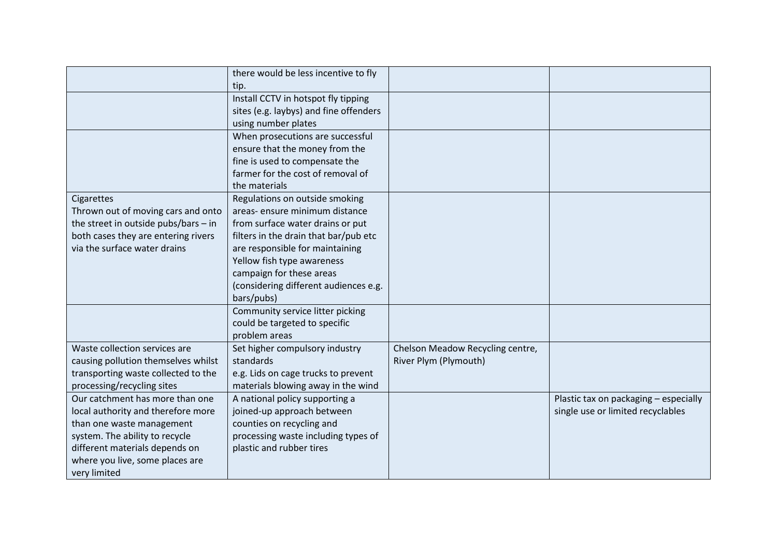|                                        | there would be less incentive to fly   |                                  |                                       |
|----------------------------------------|----------------------------------------|----------------------------------|---------------------------------------|
|                                        | tip.                                   |                                  |                                       |
|                                        | Install CCTV in hotspot fly tipping    |                                  |                                       |
|                                        | sites (e.g. laybys) and fine offenders |                                  |                                       |
|                                        | using number plates                    |                                  |                                       |
|                                        | When prosecutions are successful       |                                  |                                       |
|                                        | ensure that the money from the         |                                  |                                       |
|                                        | fine is used to compensate the         |                                  |                                       |
|                                        | farmer for the cost of removal of      |                                  |                                       |
|                                        | the materials                          |                                  |                                       |
| Cigarettes                             | Regulations on outside smoking         |                                  |                                       |
| Thrown out of moving cars and onto     | areas- ensure minimum distance         |                                  |                                       |
| the street in outside pubs/bars $-$ in | from surface water drains or put       |                                  |                                       |
| both cases they are entering rivers    | filters in the drain that bar/pub etc  |                                  |                                       |
| via the surface water drains           | are responsible for maintaining        |                                  |                                       |
|                                        | Yellow fish type awareness             |                                  |                                       |
|                                        | campaign for these areas               |                                  |                                       |
|                                        | (considering different audiences e.g.  |                                  |                                       |
|                                        | bars/pubs)                             |                                  |                                       |
|                                        | Community service litter picking       |                                  |                                       |
|                                        | could be targeted to specific          |                                  |                                       |
|                                        | problem areas                          |                                  |                                       |
| Waste collection services are          | Set higher compulsory industry         | Chelson Meadow Recycling centre, |                                       |
| causing pollution themselves whilst    | standards                              | River Plym (Plymouth)            |                                       |
| transporting waste collected to the    | e.g. Lids on cage trucks to prevent    |                                  |                                       |
| processing/recycling sites             | materials blowing away in the wind     |                                  |                                       |
| Our catchment has more than one        | A national policy supporting a         |                                  | Plastic tax on packaging - especially |
| local authority and therefore more     | joined-up approach between             |                                  | single use or limited recyclables     |
| than one waste management              | counties on recycling and              |                                  |                                       |
| system. The ability to recycle         | processing waste including types of    |                                  |                                       |
| different materials depends on         | plastic and rubber tires               |                                  |                                       |
| where you live, some places are        |                                        |                                  |                                       |
| very limited                           |                                        |                                  |                                       |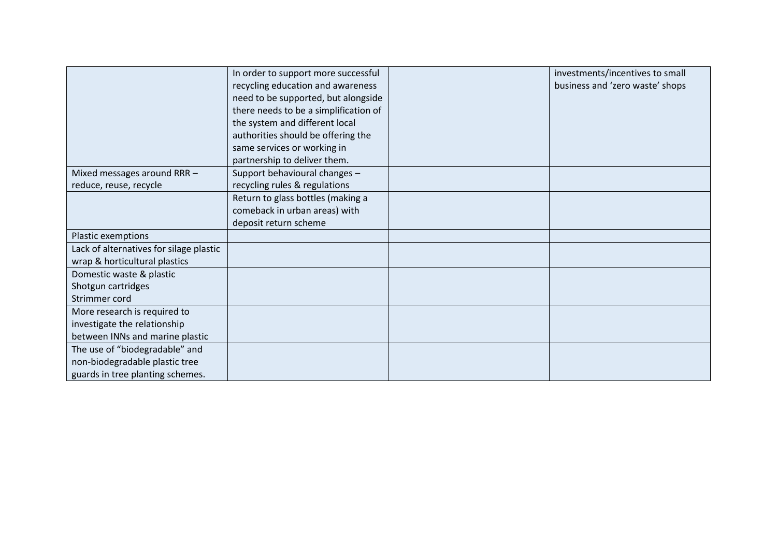|                                         | In order to support more successful   | investments/incentives to small |
|-----------------------------------------|---------------------------------------|---------------------------------|
|                                         | recycling education and awareness     | business and 'zero waste' shops |
|                                         | need to be supported, but alongside   |                                 |
|                                         | there needs to be a simplification of |                                 |
|                                         | the system and different local        |                                 |
|                                         | authorities should be offering the    |                                 |
|                                         | same services or working in           |                                 |
|                                         | partnership to deliver them.          |                                 |
| Mixed messages around RRR -             | Support behavioural changes -         |                                 |
| reduce, reuse, recycle                  | recycling rules & regulations         |                                 |
|                                         | Return to glass bottles (making a     |                                 |
|                                         | comeback in urban areas) with         |                                 |
|                                         | deposit return scheme                 |                                 |
| Plastic exemptions                      |                                       |                                 |
| Lack of alternatives for silage plastic |                                       |                                 |
| wrap & horticultural plastics           |                                       |                                 |
| Domestic waste & plastic                |                                       |                                 |
| Shotgun cartridges                      |                                       |                                 |
| Strimmer cord                           |                                       |                                 |
| More research is required to            |                                       |                                 |
| investigate the relationship            |                                       |                                 |
| between INNs and marine plastic         |                                       |                                 |
| The use of "biodegradable" and          |                                       |                                 |
| non-biodegradable plastic tree          |                                       |                                 |
| guards in tree planting schemes.        |                                       |                                 |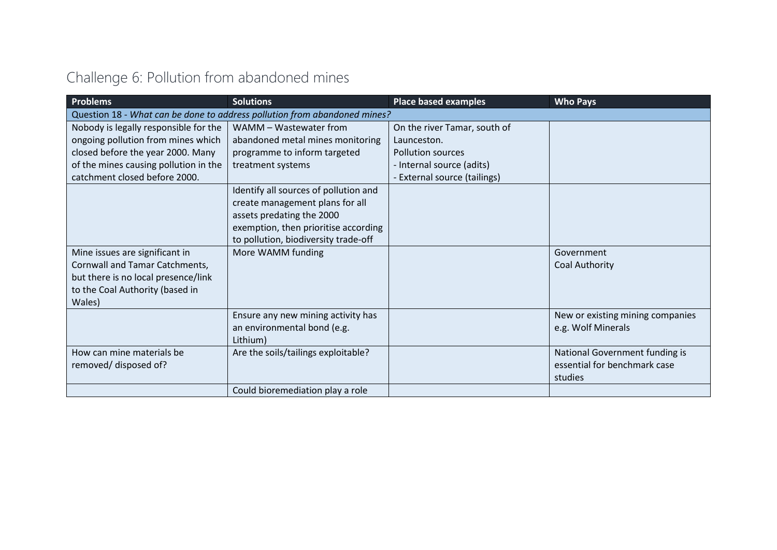|  |  | Challenge 6: Pollution from abandoned mines |  |
|--|--|---------------------------------------------|--|
|  |  |                                             |  |

| <b>Problems</b>                                                                                                                                      | <b>Solutions</b>                                                                                                                                                                      | <b>Place based examples</b>       | <b>Who Pays</b>                                                           |
|------------------------------------------------------------------------------------------------------------------------------------------------------|---------------------------------------------------------------------------------------------------------------------------------------------------------------------------------------|-----------------------------------|---------------------------------------------------------------------------|
|                                                                                                                                                      | Question 18 - What can be done to address pollution from abandoned mines?                                                                                                             |                                   |                                                                           |
| Nobody is legally responsible for the                                                                                                                | WAMM - Wastewater from                                                                                                                                                                | On the river Tamar, south of      |                                                                           |
| ongoing pollution from mines which                                                                                                                   | abandoned metal mines monitoring                                                                                                                                                      | Launceston.                       |                                                                           |
| closed before the year 2000. Many                                                                                                                    | programme to inform targeted                                                                                                                                                          | <b>Pollution sources</b>          |                                                                           |
| of the mines causing pollution in the                                                                                                                | treatment systems                                                                                                                                                                     | - Internal source (adits)         |                                                                           |
| catchment closed before 2000.                                                                                                                        |                                                                                                                                                                                       | <b>External source (tailings)</b> |                                                                           |
|                                                                                                                                                      | Identify all sources of pollution and<br>create management plans for all<br>assets predating the 2000<br>exemption, then prioritise according<br>to pollution, biodiversity trade-off |                                   |                                                                           |
| Mine issues are significant in<br>Cornwall and Tamar Catchments,<br>but there is no local presence/link<br>to the Coal Authority (based in<br>Wales) | More WAMM funding                                                                                                                                                                     |                                   | Government<br><b>Coal Authority</b>                                       |
|                                                                                                                                                      | Ensure any new mining activity has<br>an environmental bond (e.g.<br>Lithium)                                                                                                         |                                   | New or existing mining companies<br>e.g. Wolf Minerals                    |
| How can mine materials be<br>removed/ disposed of?                                                                                                   | Are the soils/tailings exploitable?                                                                                                                                                   |                                   | National Government funding is<br>essential for benchmark case<br>studies |
|                                                                                                                                                      | Could bioremediation play a role                                                                                                                                                      |                                   |                                                                           |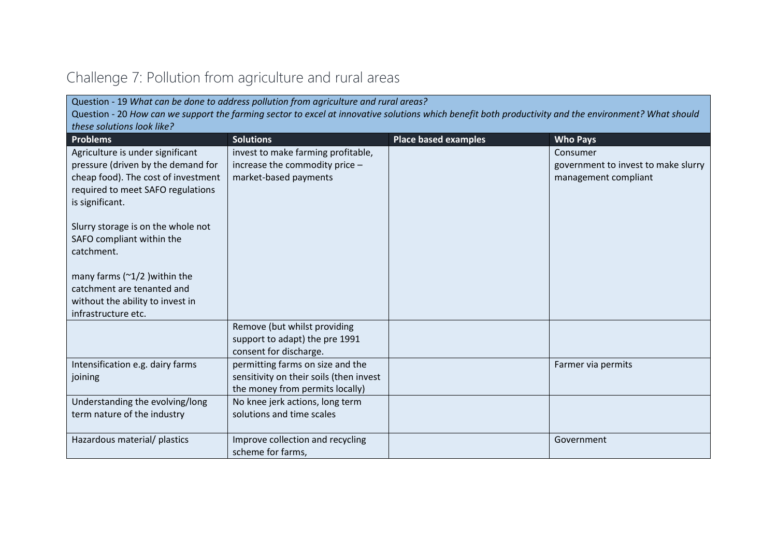| these solutions look like?<br><b>Problems</b>                                                                                                                         | <b>Solutions</b>                                                                                               | <b>Place based examples</b> | <b>Who Pays</b>                                                         |
|-----------------------------------------------------------------------------------------------------------------------------------------------------------------------|----------------------------------------------------------------------------------------------------------------|-----------------------------|-------------------------------------------------------------------------|
| Agriculture is under significant<br>pressure (driven by the demand for<br>cheap food). The cost of investment<br>required to meet SAFO regulations<br>is significant. | invest to make farming profitable,<br>increase the commodity price -<br>market-based payments                  |                             | Consumer<br>government to invest to make slurry<br>management compliant |
| Slurry storage is on the whole not<br>SAFO compliant within the<br>catchment.                                                                                         |                                                                                                                |                             |                                                                         |
| many farms ( $\approx$ 1/2 ) within the<br>catchment are tenanted and<br>without the ability to invest in<br>infrastructure etc.                                      |                                                                                                                |                             |                                                                         |
|                                                                                                                                                                       | Remove (but whilst providing<br>support to adapt) the pre 1991<br>consent for discharge.                       |                             |                                                                         |
| Intensification e.g. dairy farms<br>joining                                                                                                                           | permitting farms on size and the<br>sensitivity on their soils (then invest<br>the money from permits locally) |                             | Farmer via permits                                                      |
| Understanding the evolving/long<br>term nature of the industry                                                                                                        | No knee jerk actions, long term<br>solutions and time scales                                                   |                             |                                                                         |
| Hazardous material/ plastics                                                                                                                                          | Improve collection and recycling<br>scheme for farms.                                                          |                             | Government                                                              |

## Challenge 7: Pollution from agriculture and rural areas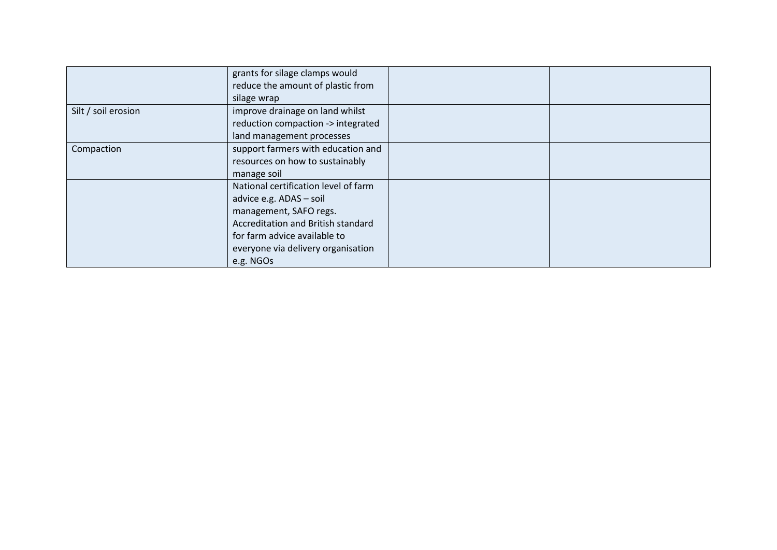|                     | grants for silage clamps would       |  |
|---------------------|--------------------------------------|--|
|                     | reduce the amount of plastic from    |  |
|                     | silage wrap                          |  |
| Silt / soil erosion | improve drainage on land whilst      |  |
|                     | reduction compaction -> integrated   |  |
|                     | land management processes            |  |
| Compaction          | support farmers with education and   |  |
|                     | resources on how to sustainably      |  |
|                     | manage soil                          |  |
|                     | National certification level of farm |  |
|                     | advice e.g. ADAS - soil              |  |
|                     | management, SAFO regs.               |  |
|                     | Accreditation and British standard   |  |
|                     | for farm advice available to         |  |
|                     | everyone via delivery organisation   |  |
|                     | e.g. NGOs                            |  |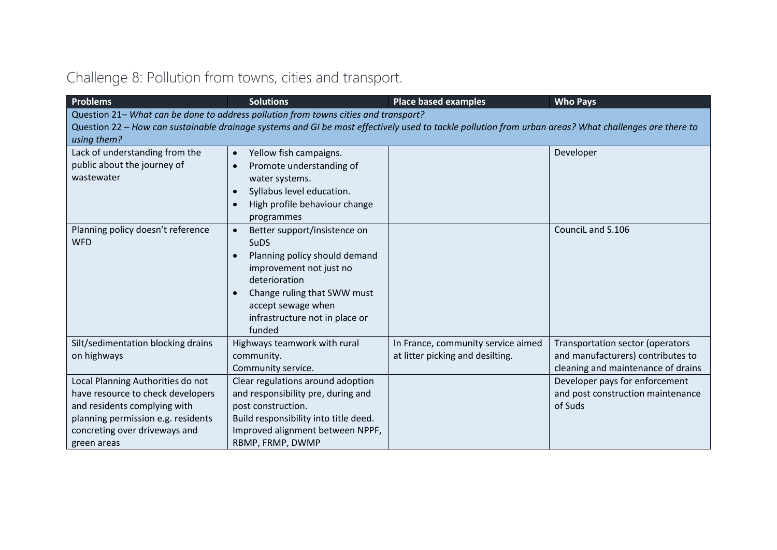## Challenge 8: Pollution from towns, cities and transport.

| <b>Problems</b>                                                                                                                                                                                                                              | <b>Solutions</b>                                                                                                                                                                               | <b>Place based examples</b>                                            | <b>Who Pays</b>                                                                                             |  |  |  |
|----------------------------------------------------------------------------------------------------------------------------------------------------------------------------------------------------------------------------------------------|------------------------------------------------------------------------------------------------------------------------------------------------------------------------------------------------|------------------------------------------------------------------------|-------------------------------------------------------------------------------------------------------------|--|--|--|
| Question 21- What can be done to address pollution from towns cities and transport?<br>Question 22 - How can sustainable drainage systems and GI be most effectively used to tackle pollution from urban areas? What challenges are there to |                                                                                                                                                                                                |                                                                        |                                                                                                             |  |  |  |
| using them?                                                                                                                                                                                                                                  |                                                                                                                                                                                                |                                                                        |                                                                                                             |  |  |  |
| Lack of understanding from the<br>public about the journey of<br>wastewater                                                                                                                                                                  | Yellow fish campaigns.<br>$\bullet$<br>Promote understanding of<br>$\bullet$<br>water systems.<br>Syllabus level education.<br>$\bullet$<br>High profile behaviour change<br>$\bullet$         |                                                                        | Developer                                                                                                   |  |  |  |
| Planning policy doesn't reference<br><b>WFD</b>                                                                                                                                                                                              | programmes<br>Better support/insistence on<br>$\bullet$<br><b>SuDS</b><br>Planning policy should demand<br>$\bullet$<br>improvement not just no                                                |                                                                        | CounciL and S.106                                                                                           |  |  |  |
|                                                                                                                                                                                                                                              | deterioration<br>Change ruling that SWW must<br>$\bullet$<br>accept sewage when<br>infrastructure not in place or<br>funded                                                                    |                                                                        |                                                                                                             |  |  |  |
| Silt/sedimentation blocking drains<br>on highways                                                                                                                                                                                            | Highways teamwork with rural<br>community.<br>Community service.                                                                                                                               | In France, community service aimed<br>at litter picking and desilting. | Transportation sector (operators<br>and manufacturers) contributes to<br>cleaning and maintenance of drains |  |  |  |
| Local Planning Authorities do not<br>have resource to check developers<br>and residents complying with<br>planning permission e.g. residents<br>concreting over driveways and<br>green areas                                                 | Clear regulations around adoption<br>and responsibility pre, during and<br>post construction.<br>Build responsibility into title deed.<br>Improved alignment between NPPF,<br>RBMP, FRMP, DWMP |                                                                        | Developer pays for enforcement<br>and post construction maintenance<br>of Suds                              |  |  |  |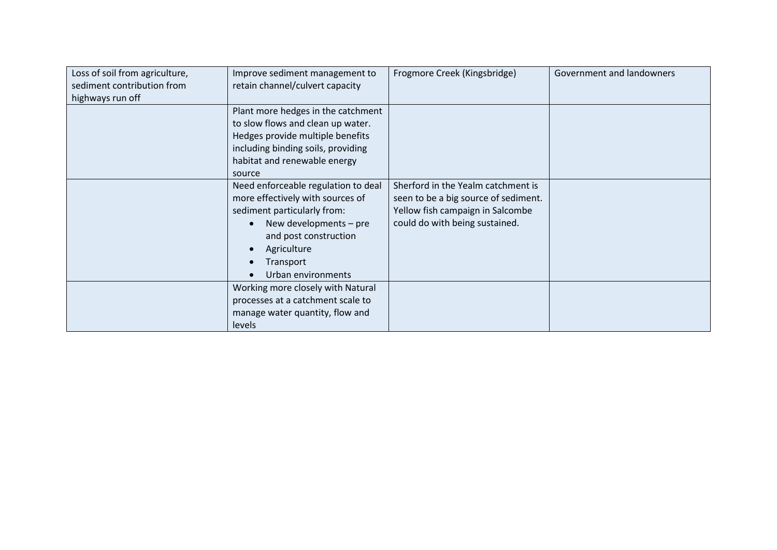| Loss of soil from agriculture,<br>sediment contribution from<br>highways run off | Improve sediment management to<br>retain channel/culvert capacity                                                                                                                                                                     | Frogmore Creek (Kingsbridge)                                                                                                                     | Government and landowners |
|----------------------------------------------------------------------------------|---------------------------------------------------------------------------------------------------------------------------------------------------------------------------------------------------------------------------------------|--------------------------------------------------------------------------------------------------------------------------------------------------|---------------------------|
|                                                                                  | Plant more hedges in the catchment<br>to slow flows and clean up water.<br>Hedges provide multiple benefits<br>including binding soils, providing<br>habitat and renewable energy<br>source                                           |                                                                                                                                                  |                           |
|                                                                                  | Need enforceable regulation to deal<br>more effectively with sources of<br>sediment particularly from:<br>New developments - pre<br>$\bullet$<br>and post construction<br>Agriculture<br>$\bullet$<br>Transport<br>Urban environments | Sherford in the Yealm catchment is<br>seen to be a big source of sediment.<br>Yellow fish campaign in Salcombe<br>could do with being sustained. |                           |
|                                                                                  | Working more closely with Natural<br>processes at a catchment scale to<br>manage water quantity, flow and<br>levels                                                                                                                   |                                                                                                                                                  |                           |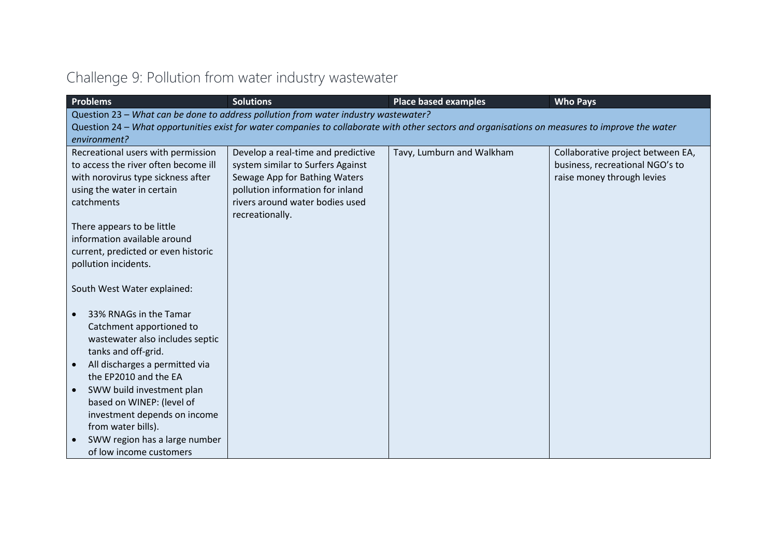| <b>Problems</b>                        | <b>Solutions</b>                                                                    | <b>Place based examples</b>                                                                                                                     | <b>Who Pays</b>                   |
|----------------------------------------|-------------------------------------------------------------------------------------|-------------------------------------------------------------------------------------------------------------------------------------------------|-----------------------------------|
|                                        | Question 23 - What can be done to address pollution from water industry wastewater? |                                                                                                                                                 |                                   |
|                                        |                                                                                     | Question 24 – What opportunities exist for water companies to collaborate with other sectors and organisations on measures to improve the water |                                   |
| environment?                           |                                                                                     |                                                                                                                                                 |                                   |
| Recreational users with permission     | Develop a real-time and predictive                                                  | Tavy, Lumburn and Walkham                                                                                                                       | Collaborative project between EA, |
| to access the river often become ill   | system similar to Surfers Against                                                   |                                                                                                                                                 | business, recreational NGO's to   |
| with norovirus type sickness after     | Sewage App for Bathing Waters                                                       |                                                                                                                                                 | raise money through levies        |
| using the water in certain             | pollution information for inland                                                    |                                                                                                                                                 |                                   |
| catchments                             | rivers around water bodies used                                                     |                                                                                                                                                 |                                   |
|                                        | recreationally.                                                                     |                                                                                                                                                 |                                   |
| There appears to be little             |                                                                                     |                                                                                                                                                 |                                   |
| information available around           |                                                                                     |                                                                                                                                                 |                                   |
| current, predicted or even historic    |                                                                                     |                                                                                                                                                 |                                   |
| pollution incidents.                   |                                                                                     |                                                                                                                                                 |                                   |
|                                        |                                                                                     |                                                                                                                                                 |                                   |
| South West Water explained:            |                                                                                     |                                                                                                                                                 |                                   |
| 33% RNAGs in the Tamar<br>$\bullet$    |                                                                                     |                                                                                                                                                 |                                   |
| Catchment apportioned to               |                                                                                     |                                                                                                                                                 |                                   |
| wastewater also includes septic        |                                                                                     |                                                                                                                                                 |                                   |
| tanks and off-grid.                    |                                                                                     |                                                                                                                                                 |                                   |
| All discharges a permitted via         |                                                                                     |                                                                                                                                                 |                                   |
| the EP2010 and the EA                  |                                                                                     |                                                                                                                                                 |                                   |
| SWW build investment plan<br>$\bullet$ |                                                                                     |                                                                                                                                                 |                                   |
| based on WINEP: (level of              |                                                                                     |                                                                                                                                                 |                                   |
| investment depends on income           |                                                                                     |                                                                                                                                                 |                                   |
| from water bills).                     |                                                                                     |                                                                                                                                                 |                                   |
| SWW region has a large number          |                                                                                     |                                                                                                                                                 |                                   |
| of low income customers                |                                                                                     |                                                                                                                                                 |                                   |

## Challenge 9: Pollution from water industry wastewater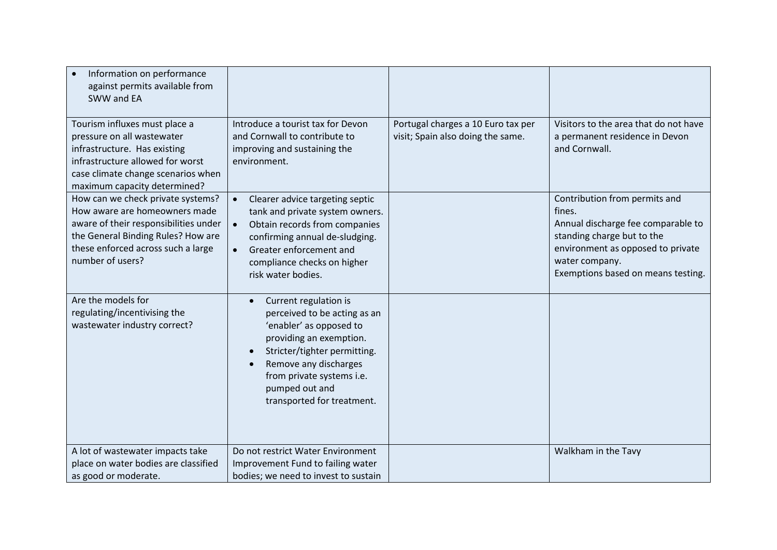| Information on performance<br>against permits available from<br>SWW and EA                                                                                                                                  |                                                                                                                                                                                                                                                                             |                                                                         |                                                                                                                                                                                                          |
|-------------------------------------------------------------------------------------------------------------------------------------------------------------------------------------------------------------|-----------------------------------------------------------------------------------------------------------------------------------------------------------------------------------------------------------------------------------------------------------------------------|-------------------------------------------------------------------------|----------------------------------------------------------------------------------------------------------------------------------------------------------------------------------------------------------|
| Tourism influxes must place a<br>pressure on all wastewater<br>infrastructure. Has existing<br>infrastructure allowed for worst<br>case climate change scenarios when<br>maximum capacity determined?       | Introduce a tourist tax for Devon<br>and Cornwall to contribute to<br>improving and sustaining the<br>environment.                                                                                                                                                          | Portugal charges a 10 Euro tax per<br>visit; Spain also doing the same. | Visitors to the area that do not have<br>a permanent residence in Devon<br>and Cornwall.                                                                                                                 |
| How can we check private systems?<br>How aware are homeowners made<br>aware of their responsibilities under<br>the General Binding Rules? How are<br>these enforced across such a large<br>number of users? | Clearer advice targeting septic<br>tank and private system owners.<br>Obtain records from companies<br>confirming annual de-sludging.<br>Greater enforcement and<br>compliance checks on higher<br>risk water bodies.                                                       |                                                                         | Contribution from permits and<br>fines.<br>Annual discharge fee comparable to<br>standing charge but to the<br>environment as opposed to private<br>water company.<br>Exemptions based on means testing. |
| Are the models for<br>regulating/incentivising the<br>wastewater industry correct?                                                                                                                          | Current regulation is<br>$\bullet$<br>perceived to be acting as an<br>'enabler' as opposed to<br>providing an exemption.<br>Stricter/tighter permitting.<br>$\bullet$<br>Remove any discharges<br>from private systems i.e.<br>pumped out and<br>transported for treatment. |                                                                         |                                                                                                                                                                                                          |
| A lot of wastewater impacts take<br>place on water bodies are classified<br>as good or moderate.                                                                                                            | Do not restrict Water Environment<br>Improvement Fund to failing water<br>bodies; we need to invest to sustain                                                                                                                                                              |                                                                         | Walkham in the Tavy                                                                                                                                                                                      |